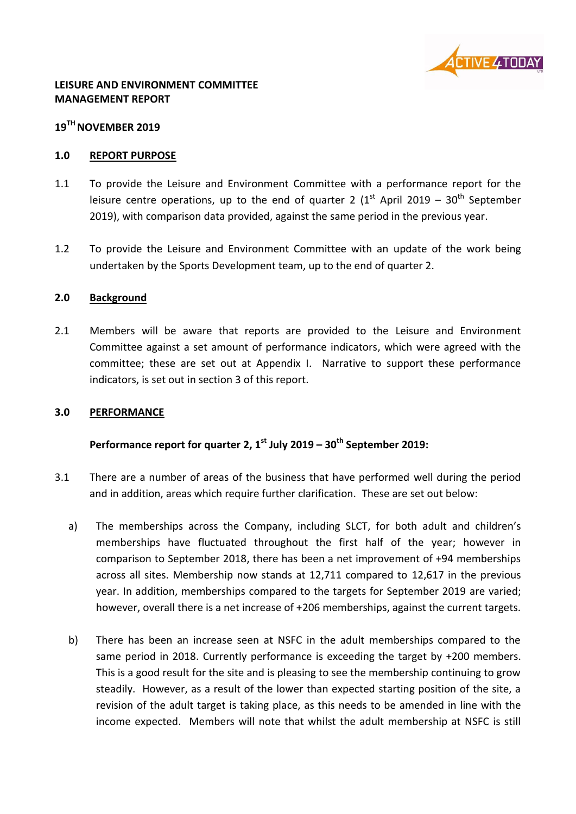

### **LEISURE AND ENVIRONMENT COMMITTEE MANAGEMENT REPORT**

# **19TH NOVEMBER 2019**

### **1.0 REPORT PURPOSE**

- 1.1 To provide the Leisure and Environment Committee with a performance report for the leisure centre operations, up to the end of quarter 2  $(1<sup>st</sup>$  April 2019 – 30<sup>th</sup> September 2019), with comparison data provided, against the same period in the previous year.
- 1.2 To provide the Leisure and Environment Committee with an update of the work being undertaken by the Sports Development team, up to the end of quarter 2.

### **2.0 Background**

2.1 Members will be aware that reports are provided to the Leisure and Environment Committee against a set amount of performance indicators, which were agreed with the committee; these are set out at Appendix I. Narrative to support these performance indicators, is set out in section 3 of this report.

#### **3.0 PERFORMANCE**

# **Performance report for quarter 2, 1 st July 2019 – 30th September 2019:**

- 3.1 There are a number of areas of the business that have performed well during the period and in addition, areas which require further clarification. These are set out below:
	- a) The memberships across the Company, including SLCT, for both adult and children's memberships have fluctuated throughout the first half of the year; however in comparison to September 2018, there has been a net improvement of +94 memberships across all sites. Membership now stands at 12,711 compared to 12,617 in the previous year. In addition, memberships compared to the targets for September 2019 are varied; however, overall there is a net increase of +206 memberships, against the current targets.
	- b) There has been an increase seen at NSFC in the adult memberships compared to the same period in 2018. Currently performance is exceeding the target by +200 members. This is a good result for the site and is pleasing to see the membership continuing to grow steadily. However, as a result of the lower than expected starting position of the site, a revision of the adult target is taking place, as this needs to be amended in line with the income expected. Members will note that whilst the adult membership at NSFC is still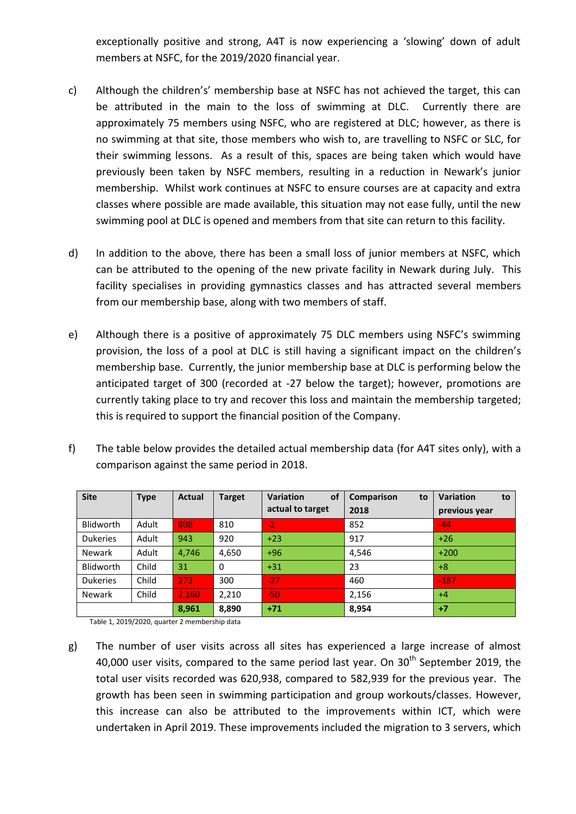exceptionally positive and strong, A4T is now experiencing a 'slowing' down of adult members at NSFC, for the 2019/2020 financial year.

- c) Although the children's' membership base at NSFC has not achieved the target, this can be attributed in the main to the loss of swimming at DLC. Currently there are approximately 75 members using NSFC, who are registered at DLC; however, as there is no swimming at that site, those members who wish to, are travelling to NSFC or SLC, for their swimming lessons. As a result of this, spaces are being taken which would have previously been taken by NSFC members, resulting in a reduction in Newark's junior membership. Whilst work continues at NSFC to ensure courses are at capacity and extra classes where possible are made available, this situation may not ease fully, until the new swimming pool at DLC is opened and members from that site can return to this facility.
- d) In addition to the above, there has been a small loss of junior members at NSFC, which can be attributed to the opening of the new private facility in Newark during July. This facility specialises in providing gymnastics classes and has attracted several members from our membership base, along with two members of staff.
- e) Although there is a positive of approximately 75 DLC members using NSFC's swimming provision, the loss of a pool at DLC is still having a significant impact on the children's membership base. Currently, the junior membership base at DLC is performing below the anticipated target of 300 (recorded at -27 below the target); however, promotions are currently taking place to try and recover this loss and maintain the membership targeted; this is required to support the financial position of the Company.
- f) The table below provides the detailed actual membership data (for A4T sites only), with a comparison against the same period in 2018.

| <b>Site</b>      | Type  | <b>Actual</b> | <b>Target</b>  | of<br><b>Variation</b><br>actual to target | <b>Comparison</b><br>to<br>2018 | <b>Variation</b><br>to<br>previous year |
|------------------|-------|---------------|----------------|--------------------------------------------|---------------------------------|-----------------------------------------|
| Blidworth        | Adult | 808           | 810            | $-2$                                       | 852                             | $-44$                                   |
| <b>Dukeries</b>  | Adult | 943           | 920            | $+23$                                      | 917                             | $+26$                                   |
| <b>Newark</b>    | Adult | 4,746         | 4,650          | $+96$                                      | 4,546                           | $+200$                                  |
| <b>Blidworth</b> | Child | 31            | $\overline{0}$ | $+31$                                      | 23                              | $+8$                                    |
| <b>Dukeries</b>  | Child | 273           | 300            | $-27$                                      | 460                             | $-187$                                  |
| <b>Newark</b>    | Child | 2,160         | 2,210          | $-50$                                      | 2,156                           | $+4$                                    |
|                  |       | 8,961         | 8,890          | $+71$                                      | 8,954                           | $+7$                                    |

Table 1, 2019/2020, quarter 2 membership data

g) The number of user visits across all sites has experienced a large increase of almost 40,000 user visits, compared to the same period last year. On  $30<sup>th</sup>$  September 2019, the total user visits recorded was 620,938, compared to 582,939 for the previous year. The growth has been seen in swimming participation and group workouts/classes. However, this increase can also be attributed to the improvements within ICT, which were undertaken in April 2019. These improvements included the migration to 3 servers, which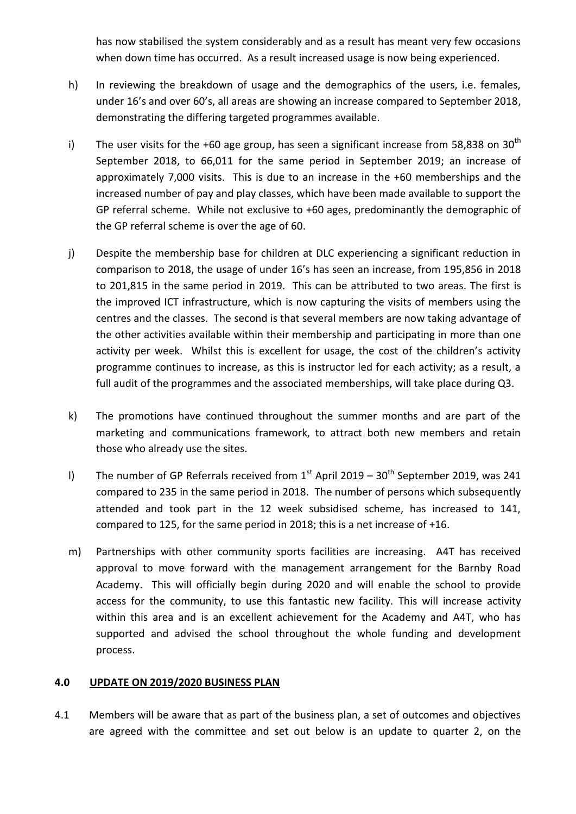has now stabilised the system considerably and as a result has meant very few occasions when down time has occurred. As a result increased usage is now being experienced.

- h) In reviewing the breakdown of usage and the demographics of the users, i.e. females, under 16's and over 60's, all areas are showing an increase compared to September 2018, demonstrating the differing targeted programmes available.
- i) The user visits for the +60 age group, has seen a significant increase from 58,838 on 30<sup>th</sup> September 2018, to 66,011 for the same period in September 2019; an increase of approximately 7,000 visits. This is due to an increase in the +60 memberships and the increased number of pay and play classes, which have been made available to support the GP referral scheme. While not exclusive to +60 ages, predominantly the demographic of the GP referral scheme is over the age of 60.
- j) Despite the membership base for children at DLC experiencing a significant reduction in comparison to 2018, the usage of under 16's has seen an increase, from 195,856 in 2018 to 201,815 in the same period in 2019. This can be attributed to two areas. The first is the improved ICT infrastructure, which is now capturing the visits of members using the centres and the classes. The second is that several members are now taking advantage of the other activities available within their membership and participating in more than one activity per week. Whilst this is excellent for usage, the cost of the children's activity programme continues to increase, as this is instructor led for each activity; as a result, a full audit of the programmes and the associated memberships, will take place during Q3.
- k) The promotions have continued throughout the summer months and are part of the marketing and communications framework, to attract both new members and retain those who already use the sites.
- l) The number of GP Referrals received from  $1<sup>st</sup>$  April 2019 30<sup>th</sup> September 2019, was 241 compared to 235 in the same period in 2018. The number of persons which subsequently attended and took part in the 12 week subsidised scheme, has increased to 141, compared to 125, for the same period in 2018; this is a net increase of +16.
- m) Partnerships with other community sports facilities are increasing. A4T has received approval to move forward with the management arrangement for the Barnby Road Academy. This will officially begin during 2020 and will enable the school to provide access for the community, to use this fantastic new facility. This will increase activity within this area and is an excellent achievement for the Academy and A4T, who has supported and advised the school throughout the whole funding and development process.

#### **4.0 UPDATE ON 2019/2020 BUSINESS PLAN**

4.1 Members will be aware that as part of the business plan, a set of outcomes and objectives are agreed with the committee and set out below is an update to quarter 2, on the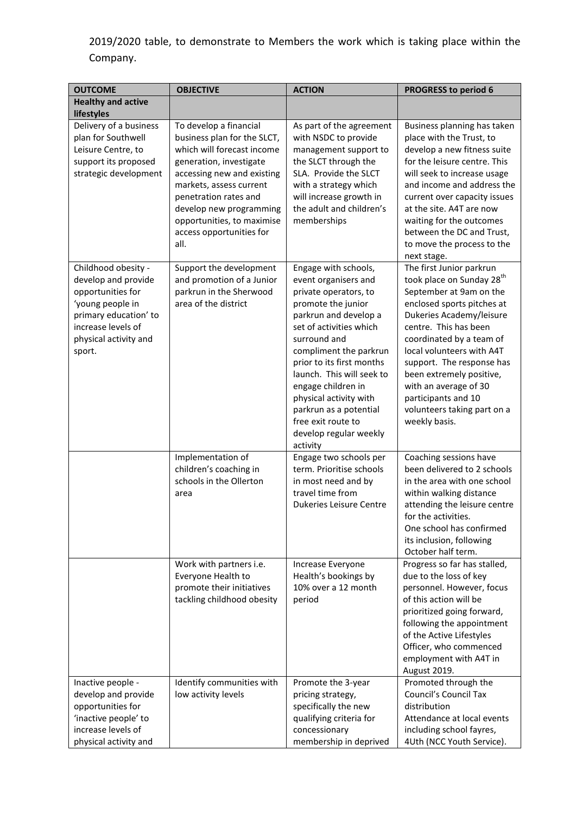2019/2020 table, to demonstrate to Members the work which is taking place within the Company.

| <b>OUTCOME</b>                                                                                                                                                        | <b>OBJECTIVE</b>                                                                                                                                                                                                                                                                              | <b>ACTION</b>                                                                                                                                                                                                                                                                                                                                                                             | <b>PROGRESS to period 6</b>                                                                                                                                                                                                                                                                                                                                                                       |  |
|-----------------------------------------------------------------------------------------------------------------------------------------------------------------------|-----------------------------------------------------------------------------------------------------------------------------------------------------------------------------------------------------------------------------------------------------------------------------------------------|-------------------------------------------------------------------------------------------------------------------------------------------------------------------------------------------------------------------------------------------------------------------------------------------------------------------------------------------------------------------------------------------|---------------------------------------------------------------------------------------------------------------------------------------------------------------------------------------------------------------------------------------------------------------------------------------------------------------------------------------------------------------------------------------------------|--|
| <b>Healthy and active</b><br>lifestyles                                                                                                                               |                                                                                                                                                                                                                                                                                               |                                                                                                                                                                                                                                                                                                                                                                                           |                                                                                                                                                                                                                                                                                                                                                                                                   |  |
| Delivery of a business<br>plan for Southwell<br>Leisure Centre, to<br>support its proposed<br>strategic development                                                   | To develop a financial<br>business plan for the SLCT,<br>which will forecast income<br>generation, investigate<br>accessing new and existing<br>markets, assess current<br>penetration rates and<br>develop new programming<br>opportunities, to maximise<br>access opportunities for<br>all. | As part of the agreement<br>with NSDC to provide<br>management support to<br>the SLCT through the<br>SLA. Provide the SLCT<br>with a strategy which<br>will increase growth in<br>the adult and children's<br>memberships                                                                                                                                                                 | Business planning has taken<br>place with the Trust, to<br>develop a new fitness suite<br>for the leisure centre. This<br>will seek to increase usage<br>and income and address the<br>current over capacity issues<br>at the site. A4T are now<br>waiting for the outcomes<br>between the DC and Trust,<br>to move the process to the<br>next stage.                                             |  |
| Childhood obesity -<br>develop and provide<br>opportunities for<br>'young people in<br>primary education' to<br>increase levels of<br>physical activity and<br>sport. | Support the development<br>and promotion of a Junior<br>parkrun in the Sherwood<br>area of the district                                                                                                                                                                                       | Engage with schools,<br>event organisers and<br>private operators, to<br>promote the junior<br>parkrun and develop a<br>set of activities which<br>surround and<br>compliment the parkrun<br>prior to its first months<br>launch. This will seek to<br>engage children in<br>physical activity with<br>parkrun as a potential<br>free exit route to<br>develop regular weekly<br>activity | The first Junior parkrun<br>took place on Sunday 28 <sup>th</sup><br>September at 9am on the<br>enclosed sports pitches at<br>Dukeries Academy/leisure<br>centre. This has been<br>coordinated by a team of<br>local volunteers with A4T<br>support. The response has<br>been extremely positive,<br>with an average of 30<br>participants and 10<br>volunteers taking part on a<br>weekly basis. |  |
|                                                                                                                                                                       | Implementation of<br>children's coaching in<br>schools in the Ollerton<br>area                                                                                                                                                                                                                | Engage two schools per<br>term. Prioritise schools<br>in most need and by<br>travel time from<br>Dukeries Leisure Centre                                                                                                                                                                                                                                                                  | Coaching sessions have<br>been delivered to 2 schools<br>in the area with one school<br>within walking distance<br>attending the leisure centre<br>for the activities.<br>One school has confirmed<br>its inclusion, following<br>October half term.                                                                                                                                              |  |
|                                                                                                                                                                       | Work with partners i.e.<br>Everyone Health to<br>promote their initiatives<br>tackling childhood obesity                                                                                                                                                                                      | Increase Everyone<br>Health's bookings by<br>10% over a 12 month<br>period                                                                                                                                                                                                                                                                                                                | Progress so far has stalled,<br>due to the loss of key<br>personnel. However, focus<br>of this action will be<br>prioritized going forward,<br>following the appointment<br>of the Active Lifestyles<br>Officer, who commenced<br>employment with A4T in<br>August 2019.                                                                                                                          |  |
| Inactive people -<br>develop and provide<br>opportunities for<br>'inactive people' to<br>increase levels of<br>physical activity and                                  | Identify communities with<br>low activity levels                                                                                                                                                                                                                                              | Promote the 3-year<br>pricing strategy,<br>specifically the new<br>qualifying criteria for<br>concessionary<br>membership in deprived                                                                                                                                                                                                                                                     | Promoted through the<br>Council's Council Tax<br>distribution<br>Attendance at local events<br>including school fayres,<br>4Uth (NCC Youth Service).                                                                                                                                                                                                                                              |  |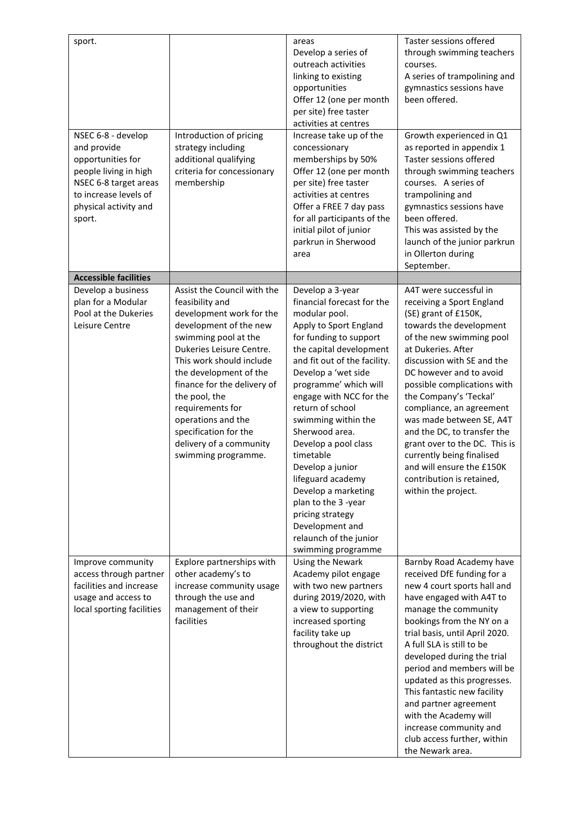| sport.                                      |                                                    | areas                                          | Taster sessions offered                                  |
|---------------------------------------------|----------------------------------------------------|------------------------------------------------|----------------------------------------------------------|
|                                             |                                                    | Develop a series of<br>outreach activities     | through swimming teachers<br>courses.                    |
|                                             |                                                    | linking to existing                            | A series of trampolining and                             |
|                                             |                                                    | opportunities                                  | gymnastics sessions have                                 |
|                                             |                                                    | Offer 12 (one per month                        | been offered.                                            |
|                                             |                                                    | per site) free taster                          |                                                          |
|                                             |                                                    | activities at centres                          |                                                          |
| NSEC 6-8 - develop                          | Introduction of pricing                            | Increase take up of the                        | Growth experienced in Q1                                 |
| and provide<br>opportunities for            | strategy including<br>additional qualifying        | concessionary<br>memberships by 50%            | as reported in appendix 1<br>Taster sessions offered     |
| people living in high                       | criteria for concessionary                         | Offer 12 (one per month                        | through swimming teachers                                |
| NSEC 6-8 target areas                       | membership                                         | per site) free taster                          | courses. A series of                                     |
| to increase levels of                       |                                                    | activities at centres                          | trampolining and                                         |
| physical activity and                       |                                                    | Offer a FREE 7 day pass                        | gymnastics sessions have                                 |
| sport.                                      |                                                    | for all participants of the                    | been offered.                                            |
|                                             |                                                    | initial pilot of junior<br>parkrun in Sherwood | This was assisted by the<br>launch of the junior parkrun |
|                                             |                                                    | area                                           | in Ollerton during                                       |
|                                             |                                                    |                                                | September.                                               |
| <b>Accessible facilities</b>                |                                                    |                                                |                                                          |
| Develop a business                          | Assist the Council with the                        | Develop a 3-year                               | A4T were successful in                                   |
| plan for a Modular                          | feasibility and                                    | financial forecast for the                     | receiving a Sport England                                |
| Pool at the Dukeries<br>Leisure Centre      | development work for the<br>development of the new | modular pool.<br>Apply to Sport England        | (SE) grant of £150K,<br>towards the development          |
|                                             | swimming pool at the                               | for funding to support                         | of the new swimming pool                                 |
|                                             | Dukeries Leisure Centre.                           | the capital development                        | at Dukeries. After                                       |
|                                             | This work should include                           | and fit out of the facility.                   | discussion with SE and the                               |
|                                             | the development of the                             | Develop a 'wet side                            | DC however and to avoid                                  |
|                                             | finance for the delivery of                        | programme' which will                          | possible complications with                              |
|                                             | the pool, the<br>requirements for                  | engage with NCC for the<br>return of school    | the Company's 'Teckal'<br>compliance, an agreement       |
|                                             | operations and the                                 | swimming within the                            | was made between SE, A4T                                 |
|                                             | specification for the                              | Sherwood area.                                 | and the DC, to transfer the                              |
|                                             | delivery of a community                            | Develop a pool class                           | grant over to the DC. This is                            |
|                                             | swimming programme.                                | timetable                                      | currently being finalised                                |
|                                             |                                                    | Develop a junior                               | and will ensure the £150K                                |
|                                             |                                                    | lifeguard academy<br>Develop a marketing       | contribution is retained,<br>within the project.         |
|                                             |                                                    | plan to the 3 -year                            |                                                          |
|                                             |                                                    | pricing strategy                               |                                                          |
|                                             |                                                    | Development and                                |                                                          |
|                                             |                                                    | relaunch of the junior                         |                                                          |
|                                             |                                                    | swimming programme                             |                                                          |
| Improve community<br>access through partner | Explore partnerships with<br>other academy's to    | Using the Newark<br>Academy pilot engage       | Barnby Road Academy have<br>received DfE funding for a   |
| facilities and increase                     | increase community usage                           | with two new partners                          | new 4 court sports hall and                              |
| usage and access to                         | through the use and                                | during 2019/2020, with                         | have engaged with A4T to                                 |
| local sporting facilities                   | management of their                                | a view to supporting                           | manage the community                                     |
|                                             | facilities                                         | increased sporting                             | bookings from the NY on a                                |
|                                             |                                                    | facility take up                               | trial basis, until April 2020.                           |
|                                             |                                                    | throughout the district                        | A full SLA is still to be<br>developed during the trial  |
|                                             |                                                    |                                                | period and members will be                               |
|                                             |                                                    |                                                | updated as this progresses.                              |
|                                             |                                                    |                                                | This fantastic new facility                              |
|                                             |                                                    |                                                | and partner agreement                                    |
|                                             |                                                    |                                                | with the Academy will                                    |
|                                             |                                                    |                                                | increase community and<br>club access further, within    |
|                                             |                                                    |                                                | the Newark area.                                         |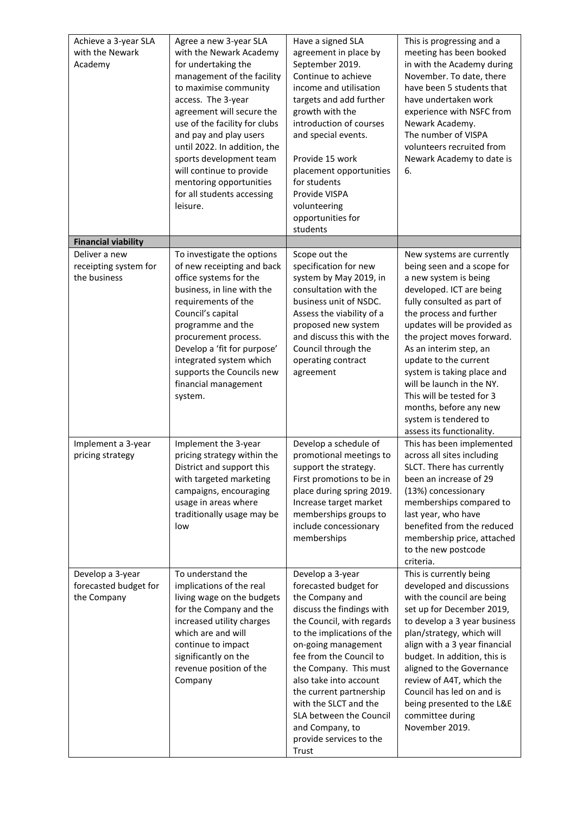| Achieve a 3-year SLA<br>with the Newark<br>Academy       | Agree a new 3-year SLA<br>with the Newark Academy<br>for undertaking the<br>management of the facility<br>to maximise community<br>access. The 3-year<br>agreement will secure the<br>use of the facility for clubs<br>and pay and play users<br>until 2022. In addition, the<br>sports development team<br>will continue to provide<br>mentoring opportunities<br>for all students accessing<br>leisure. | Have a signed SLA<br>agreement in place by<br>September 2019.<br>Continue to achieve<br>income and utilisation<br>targets and add further<br>growth with the<br>introduction of courses<br>and special events.<br>Provide 15 work<br>placement opportunities<br>for students<br>Provide VISPA<br>volunteering<br>opportunities for<br>students                                                   | This is progressing and a<br>meeting has been booked<br>in with the Academy during<br>November. To date, there<br>have been 5 students that<br>have undertaken work<br>experience with NSFC from<br>Newark Academy.<br>The number of VISPA<br>volunteers recruited from<br>Newark Academy to date is<br>6.                                                                                                                                                    |
|----------------------------------------------------------|-----------------------------------------------------------------------------------------------------------------------------------------------------------------------------------------------------------------------------------------------------------------------------------------------------------------------------------------------------------------------------------------------------------|--------------------------------------------------------------------------------------------------------------------------------------------------------------------------------------------------------------------------------------------------------------------------------------------------------------------------------------------------------------------------------------------------|---------------------------------------------------------------------------------------------------------------------------------------------------------------------------------------------------------------------------------------------------------------------------------------------------------------------------------------------------------------------------------------------------------------------------------------------------------------|
| <b>Financial viability</b>                               |                                                                                                                                                                                                                                                                                                                                                                                                           |                                                                                                                                                                                                                                                                                                                                                                                                  |                                                                                                                                                                                                                                                                                                                                                                                                                                                               |
| Deliver a new<br>receipting system for<br>the business   | To investigate the options<br>of new receipting and back<br>office systems for the<br>business, in line with the<br>requirements of the<br>Council's capital<br>programme and the<br>procurement process.<br>Develop a 'fit for purpose'<br>integrated system which<br>supports the Councils new<br>financial management<br>system.                                                                       | Scope out the<br>specification for new<br>system by May 2019, in<br>consultation with the<br>business unit of NSDC.<br>Assess the viability of a<br>proposed new system<br>and discuss this with the<br>Council through the<br>operating contract<br>agreement                                                                                                                                   | New systems are currently<br>being seen and a scope for<br>a new system is being<br>developed. ICT are being<br>fully consulted as part of<br>the process and further<br>updates will be provided as<br>the project moves forward.<br>As an interim step, an<br>update to the current<br>system is taking place and<br>will be launch in the NY.<br>This will be tested for 3<br>months, before any new<br>system is tendered to<br>assess its functionality. |
| Implement a 3-year<br>pricing strategy                   | Implement the 3-year<br>pricing strategy within the<br>District and support this<br>with targeted marketing<br>campaigns, encouraging<br>usage in areas where<br>traditionally usage may be<br>low                                                                                                                                                                                                        | Develop a schedule of<br>promotional meetings to<br>support the strategy.<br>First promotions to be in<br>place during spring 2019.<br>Increase target market<br>memberships groups to<br>include concessionary<br>memberships                                                                                                                                                                   | This has been implemented<br>across all sites including<br>SLCT. There has currently<br>been an increase of 29<br>(13%) concessionary<br>memberships compared to<br>last year, who have<br>benefited from the reduced<br>membership price, attached<br>to the new postcode<br>criteria.                                                                                                                                                                       |
| Develop a 3-year<br>forecasted budget for<br>the Company | To understand the<br>implications of the real<br>living wage on the budgets<br>for the Company and the<br>increased utility charges<br>which are and will<br>continue to impact<br>significantly on the<br>revenue position of the<br>Company                                                                                                                                                             | Develop a 3-year<br>forecasted budget for<br>the Company and<br>discuss the findings with<br>the Council, with regards<br>to the implications of the<br>on-going management<br>fee from the Council to<br>the Company. This must<br>also take into account<br>the current partnership<br>with the SLCT and the<br>SLA between the Council<br>and Company, to<br>provide services to the<br>Trust | This is currently being<br>developed and discussions<br>with the council are being<br>set up for December 2019,<br>to develop a 3 year business<br>plan/strategy, which will<br>align with a 3 year financial<br>budget. In addition, this is<br>aligned to the Governance<br>review of A4T, which the<br>Council has led on and is<br>being presented to the L&E<br>committee during<br>November 2019.                                                       |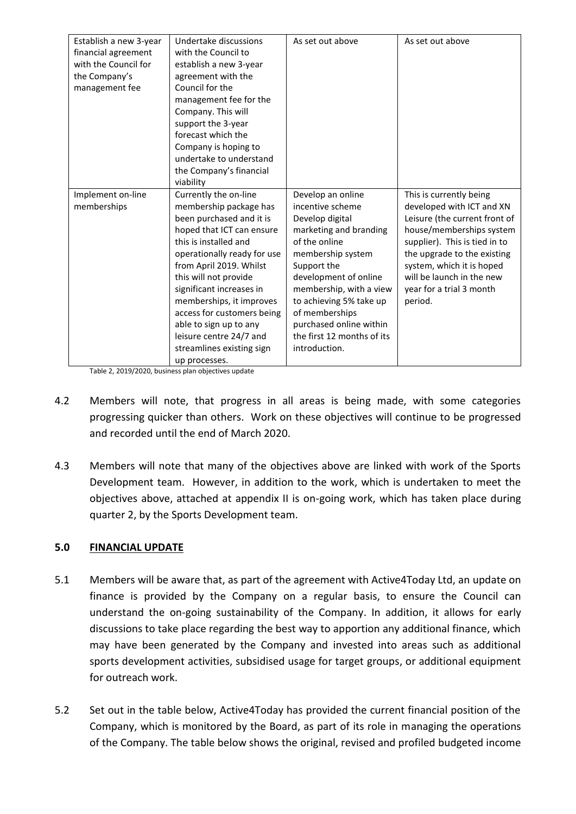| Establish a new 3-year<br>financial agreement<br>with the Council for<br>the Company's<br>management fee | Undertake discussions<br>with the Council to<br>establish a new 3-year<br>agreement with the<br>Council for the<br>management fee for the<br>Company. This will | As set out above                        | As set out above                                         |
|----------------------------------------------------------------------------------------------------------|-----------------------------------------------------------------------------------------------------------------------------------------------------------------|-----------------------------------------|----------------------------------------------------------|
|                                                                                                          | support the 3-year                                                                                                                                              |                                         |                                                          |
|                                                                                                          | forecast which the<br>Company is hoping to                                                                                                                      |                                         |                                                          |
|                                                                                                          | undertake to understand                                                                                                                                         |                                         |                                                          |
|                                                                                                          | the Company's financial                                                                                                                                         |                                         |                                                          |
|                                                                                                          | viability                                                                                                                                                       |                                         |                                                          |
| Implement on-line                                                                                        | Currently the on-line                                                                                                                                           | Develop an online                       | This is currently being                                  |
| memberships                                                                                              | membership package has                                                                                                                                          | incentive scheme                        | developed with ICT and XN                                |
|                                                                                                          | been purchased and it is                                                                                                                                        | Develop digital                         | Leisure (the current front of                            |
|                                                                                                          | hoped that ICT can ensure<br>this is installed and                                                                                                              | marketing and branding<br>of the online | house/memberships system                                 |
|                                                                                                          |                                                                                                                                                                 |                                         | supplier). This is tied in to                            |
|                                                                                                          | operationally ready for use<br>from April 2019. Whilst                                                                                                          | membership system<br>Support the        | the upgrade to the existing<br>system, which it is hoped |
|                                                                                                          | this will not provide                                                                                                                                           | development of online                   | will be launch in the new                                |
|                                                                                                          | significant increases in                                                                                                                                        | membership, with a view                 | year for a trial 3 month                                 |
|                                                                                                          | memberships, it improves                                                                                                                                        | to achieving 5% take up                 | period.                                                  |
|                                                                                                          | access for customers being                                                                                                                                      | of memberships                          |                                                          |
|                                                                                                          | able to sign up to any                                                                                                                                          | purchased online within                 |                                                          |
|                                                                                                          | leisure centre 24/7 and                                                                                                                                         | the first 12 months of its              |                                                          |
|                                                                                                          | streamlines existing sign                                                                                                                                       | introduction.                           |                                                          |
|                                                                                                          | up processes.                                                                                                                                                   |                                         |                                                          |

Table 2, 2019/2020, business plan objectives update

- 4.2 Members will note, that progress in all areas is being made, with some categories progressing quicker than others. Work on these objectives will continue to be progressed and recorded until the end of March 2020.
- 4.3 Members will note that many of the objectives above are linked with work of the Sports Development team. However, in addition to the work, which is undertaken to meet the objectives above, attached at appendix II is on-going work, which has taken place during quarter 2, by the Sports Development team.

# **5.0 FINANCIAL UPDATE**

- 5.1 Members will be aware that, as part of the agreement with Active4Today Ltd, an update on finance is provided by the Company on a regular basis, to ensure the Council can understand the on-going sustainability of the Company. In addition, it allows for early discussions to take place regarding the best way to apportion any additional finance, which may have been generated by the Company and invested into areas such as additional sports development activities, subsidised usage for target groups, or additional equipment for outreach work.
- 5.2 Set out in the table below, Active4Today has provided the current financial position of the Company, which is monitored by the Board, as part of its role in managing the operations of the Company. The table below shows the original, revised and profiled budgeted income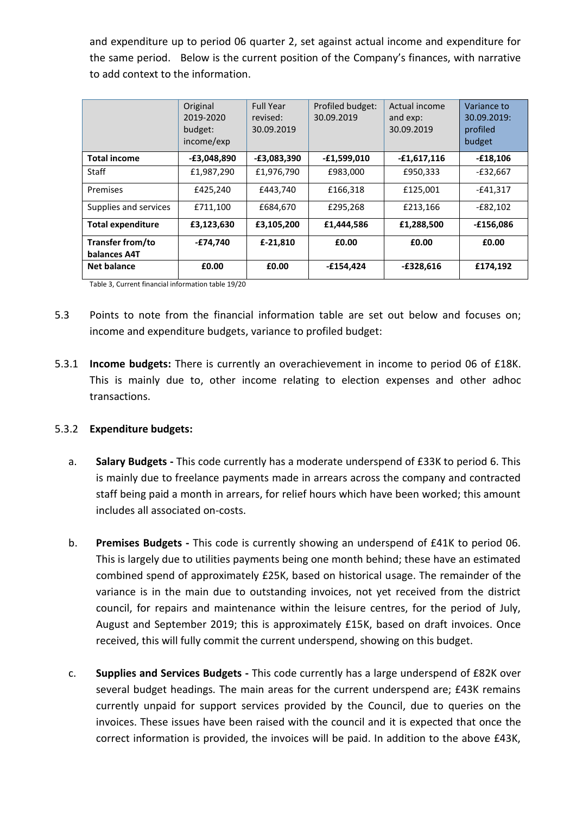and expenditure up to period 06 quarter 2, set against actual income and expenditure for the same period. Below is the current position of the Company's finances, with narrative to add context to the information.

|                                  | Original<br>2019-2020<br>budget:<br>income/exp | <b>Full Year</b><br>revised:<br>30.09.2019 | Profiled budget:<br>30.09.2019 | Actual income<br>and exp:<br>30.09.2019 | Variance to<br>30.09.2019:<br>profiled<br>budget |
|----------------------------------|------------------------------------------------|--------------------------------------------|--------------------------------|-----------------------------------------|--------------------------------------------------|
| <b>Total income</b>              | $-E3,048,890$                                  | $-E3,083,390$                              | $-£1,599,010$                  | $-£1,617,116$                           | $-£18,106$                                       |
| Staff                            | £1,987,290                                     | £1,976,790                                 | £983,000                       | £950,333                                | -£32,667                                         |
| Premises                         | £425.240                                       | £443.740                                   | £166.318                       | £125,001                                | $-£41.317$                                       |
| Supplies and services            | £711,100                                       | £684,670                                   | £295,268                       | £213,166                                | $-E82,102$                                       |
| <b>Total expenditure</b>         | £3,123,630                                     | £3,105,200                                 | £1,444,586                     | £1,288,500                              | $-£156,086$                                      |
| Transfer from/to<br>balances A4T | $-E74,740$                                     | £-21,810                                   | £0.00                          | £0.00                                   | £0.00                                            |
| <b>Net balance</b>               | £0.00                                          | £0.00                                      | $-£154,424$                    | $-£328,616$                             | £174,192                                         |

Table 3, Current financial information table 19/20

- 5.3 Points to note from the financial information table are set out below and focuses on; income and expenditure budgets, variance to profiled budget:
- 5.3.1 **Income budgets:** There is currently an overachievement in income to period 06 of £18K. This is mainly due to, other income relating to election expenses and other adhoc transactions.

# 5.3.2 **Expenditure budgets:**

- a. **Salary Budgets -** This code currently has a moderate underspend of £33K to period 6. This is mainly due to freelance payments made in arrears across the company and contracted staff being paid a month in arrears, for relief hours which have been worked; this amount includes all associated on-costs.
- b. **Premises Budgets -** This code is currently showing an underspend of £41K to period 06. This is largely due to utilities payments being one month behind; these have an estimated combined spend of approximately £25K, based on historical usage. The remainder of the variance is in the main due to outstanding invoices, not yet received from the district council, for repairs and maintenance within the leisure centres, for the period of July, August and September 2019; this is approximately £15K, based on draft invoices. Once received, this will fully commit the current underspend, showing on this budget.
- c. **Supplies and Services Budgets -** This code currently has a large underspend of £82K over several budget headings. The main areas for the current underspend are; £43K remains currently unpaid for support services provided by the Council, due to queries on the invoices. These issues have been raised with the council and it is expected that once the correct information is provided, the invoices will be paid. In addition to the above £43K,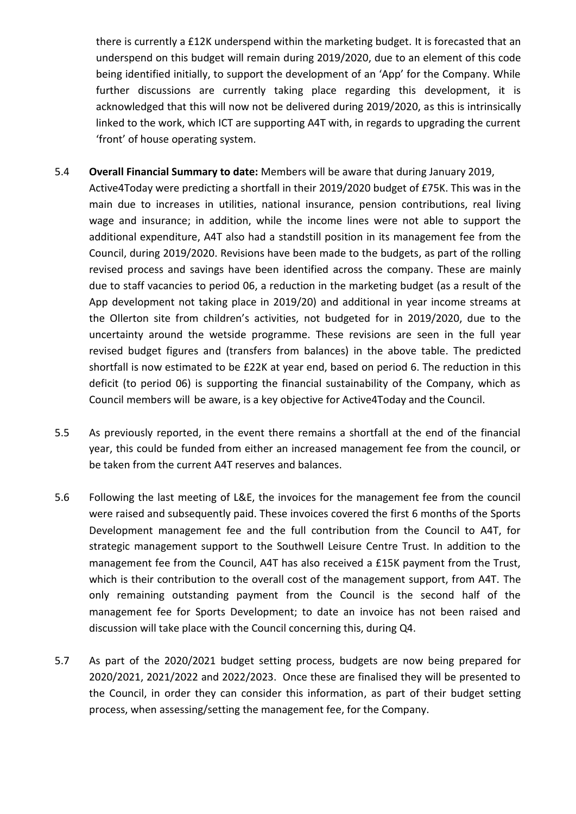there is currently a £12K underspend within the marketing budget. It is forecasted that an underspend on this budget will remain during 2019/2020, due to an element of this code being identified initially, to support the development of an 'App' for the Company. While further discussions are currently taking place regarding this development, it is acknowledged that this will now not be delivered during 2019/2020, as this is intrinsically linked to the work, which ICT are supporting A4T with, in regards to upgrading the current 'front' of house operating system.

- 5.4 **Overall Financial Summary to date:** Members will be aware that during January 2019, Active4Today were predicting a shortfall in their 2019/2020 budget of £75K. This was in the main due to increases in utilities, national insurance, pension contributions, real living wage and insurance; in addition, while the income lines were not able to support the additional expenditure, A4T also had a standstill position in its management fee from the Council, during 2019/2020. Revisions have been made to the budgets, as part of the rolling revised process and savings have been identified across the company. These are mainly due to staff vacancies to period 06, a reduction in the marketing budget (as a result of the App development not taking place in 2019/20) and additional in year income streams at the Ollerton site from children's activities, not budgeted for in 2019/2020, due to the uncertainty around the wetside programme. These revisions are seen in the full year revised budget figures and (transfers from balances) in the above table. The predicted shortfall is now estimated to be £22K at year end, based on period 6. The reduction in this deficit (to period 06) is supporting the financial sustainability of the Company, which as Council members will be aware, is a key objective for Active4Today and the Council.
- 5.5 As previously reported, in the event there remains a shortfall at the end of the financial year, this could be funded from either an increased management fee from the council, or be taken from the current A4T reserves and balances.
- 5.6 Following the last meeting of L&E, the invoices for the management fee from the council were raised and subsequently paid. These invoices covered the first 6 months of the Sports Development management fee and the full contribution from the Council to A4T, for strategic management support to the Southwell Leisure Centre Trust. In addition to the management fee from the Council, A4T has also received a £15K payment from the Trust, which is their contribution to the overall cost of the management support, from A4T. The only remaining outstanding payment from the Council is the second half of the management fee for Sports Development; to date an invoice has not been raised and discussion will take place with the Council concerning this, during Q4.
- 5.7 As part of the 2020/2021 budget setting process, budgets are now being prepared for 2020/2021, 2021/2022 and 2022/2023. Once these are finalised they will be presented to the Council, in order they can consider this information, as part of their budget setting process, when assessing/setting the management fee, for the Company.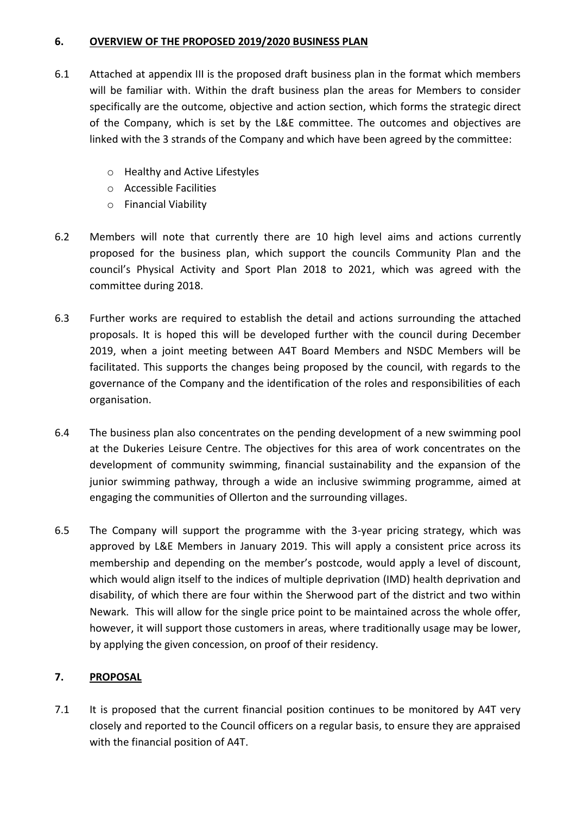## **6. OVERVIEW OF THE PROPOSED 2019/2020 BUSINESS PLAN**

- 6.1 Attached at appendix III is the proposed draft business plan in the format which members will be familiar with. Within the draft business plan the areas for Members to consider specifically are the outcome, objective and action section, which forms the strategic direct of the Company, which is set by the L&E committee. The outcomes and objectives are linked with the 3 strands of the Company and which have been agreed by the committee:
	- o Healthy and Active Lifestyles
	- o Accessible Facilities
	- o Financial Viability
- 6.2 Members will note that currently there are 10 high level aims and actions currently proposed for the business plan, which support the councils Community Plan and the council's Physical Activity and Sport Plan 2018 to 2021, which was agreed with the committee during 2018.
- 6.3 Further works are required to establish the detail and actions surrounding the attached proposals. It is hoped this will be developed further with the council during December 2019, when a joint meeting between A4T Board Members and NSDC Members will be facilitated. This supports the changes being proposed by the council, with regards to the governance of the Company and the identification of the roles and responsibilities of each organisation.
- 6.4 The business plan also concentrates on the pending development of a new swimming pool at the Dukeries Leisure Centre. The objectives for this area of work concentrates on the development of community swimming, financial sustainability and the expansion of the junior swimming pathway, through a wide an inclusive swimming programme, aimed at engaging the communities of Ollerton and the surrounding villages.
- 6.5 The Company will support the programme with the 3-year pricing strategy, which was approved by L&E Members in January 2019. This will apply a consistent price across its membership and depending on the member's postcode, would apply a level of discount, which would align itself to the indices of multiple deprivation (IMD) health deprivation and disability, of which there are four within the Sherwood part of the district and two within Newark. This will allow for the single price point to be maintained across the whole offer, however, it will support those customers in areas, where traditionally usage may be lower, by applying the given concession, on proof of their residency.

# **7. PROPOSAL**

7.1 It is proposed that the current financial position continues to be monitored by A4T very closely and reported to the Council officers on a regular basis, to ensure they are appraised with the financial position of A4T.